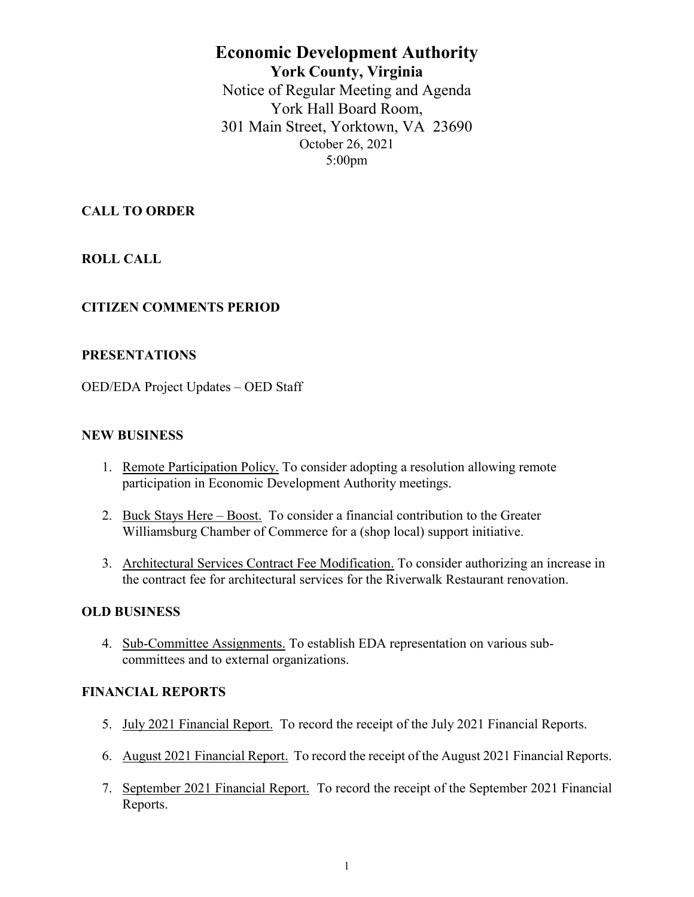# **Economic Development Authority York County, Virginia** Notice of Regular Meeting and Agenda York Hall Board Room, 301 Main Street, Yorktown, VA 23690 October 26, 2021 5:00pm

## **CALL TO ORDER**

**ROLL CALL**

## **CITIZEN COMMENTS PERIOD**

### **PRESENTATIONS**

OED/EDA Project Updates – OED Staff

#### **NEW BUSINESS**

- 1. Remote Participation Policy. To consider adopting a resolution allowing remote participation in Economic Development Authority meetings.
- 2. Buck Stays Here Boost. To consider a financial contribution to the Greater Williamsburg Chamber of Commerce for a (shop local) support initiative.
- 3. Architectural Services Contract Fee Modification. To consider authorizing an increase in the contract fee for architectural services for the Riverwalk Restaurant renovation.

### **OLD BUSINESS**

4. Sub-Committee Assignments. To establish EDA representation on various subcommittees and to external organizations.

#### **FINANCIAL REPORTS**

- 5. July 2021 Financial Report. To record the receipt of the July 2021 Financial Reports.
- 6. August 2021 Financial Report. To record the receipt of the August 2021 Financial Reports.
- 7. September 2021 Financial Report. To record the receipt of the September 2021 Financial Reports.